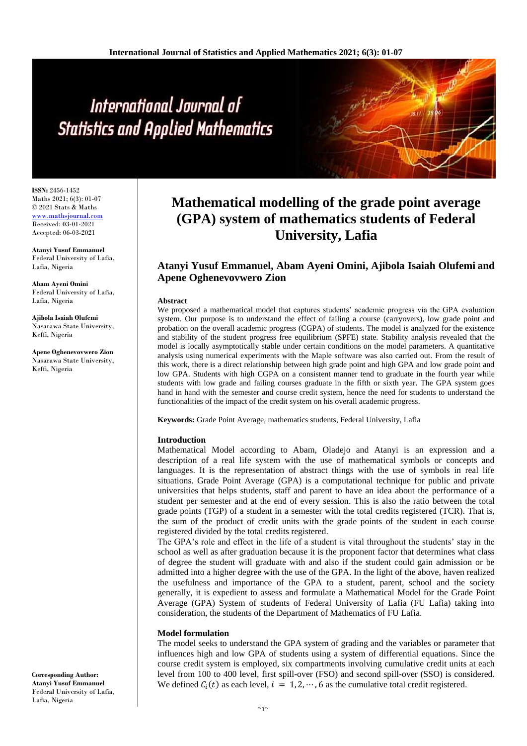# International Journal of **Statistics and Applied Mathematics**

**ISSN:** 2456-1452 Maths 2021; 6(3): 01-07 © 2021 Stats & Maths <www.mathsjournal.com> Received: 03-01-2021 Accepted: 06-03-2021

**Atanyi Yusuf Emmanuel**  Federal University of Lafia, Lafia, Nigeria

**Abam Ayeni Omini**  Federal University of Lafia, Lafia, Nigeria

**Ajibola Isaiah Olufemi** Nasarawa State University, Keffi, Nigeria

**Apene Oghenevovwero Zion** Nasarawa State University, Keffi, Nigeria

# **Mathematical modelling of the grade point average (GPA) system of mathematics students of Federal University, Lafia**

# **Atanyi Yusuf Emmanuel, Abam Ayeni Omini, Ajibola Isaiah Olufemi and Apene Oghenevovwero Zion**

#### **Abstract**

We proposed a mathematical model that captures students' academic progress via the GPA evaluation system. Our purpose is to understand the effect of failing a course (carryovers), low grade point and probation on the overall academic progress (CGPA) of students. The model is analyzed for the existence and stability of the student progress free equilibrium (SPFE) state. Stability analysis revealed that the model is locally asymptotically stable under certain conditions on the model parameters. A quantitative analysis using numerical experiments with the Maple software was also carried out. From the result of this work, there is a direct relationship between high grade point and high GPA and low grade point and low GPA. Students with high CGPA on a consistent manner tend to graduate in the fourth year while students with low grade and failing courses graduate in the fifth or sixth year. The GPA system goes hand in hand with the semester and course credit system, hence the need for students to understand the functionalities of the impact of the credit system on his overall academic progress.

**Keywords:** Grade Point Average, mathematics students, Federal University, Lafia

#### **Introduction**

Mathematical Model according to Abam, Oladejo and Atanyi is an expression and a description of a real life system with the use of mathematical symbols or concepts and languages. It is the representation of abstract things with the use of symbols in real life situations. Grade Point Average (GPA) is a computational technique for public and private universities that helps students, staff and parent to have an idea about the performance of a student per semester and at the end of every session. This is also the ratio between the total grade points (TGP) of a student in a semester with the total credits registered (TCR). That is, the sum of the product of credit units with the grade points of the student in each course registered divided by the total credits registered.

The GPA's role and effect in the life of a student is vital throughout the students' stay in the school as well as after graduation because it is the proponent factor that determines what class of degree the student will graduate with and also if the student could gain admission or be admitted into a higher degree with the use of the GPA. In the light of the above, haven realized the usefulness and importance of the GPA to a student, parent, school and the society generally, it is expedient to assess and formulate a Mathematical Model for the Grade Point Average (GPA) System of students of Federal University of Lafia (FU Lafia) taking into consideration, the students of the Department of Mathematics of FU Lafia.

#### **Model formulation**

The model seeks to understand the GPA system of grading and the variables or parameter that influences high and low GPA of students using a system of differential equations. Since the course credit system is employed, six compartments involving cumulative credit units at each level from 100 to 400 level, first spill-over (FSO) and second spill-over (SSO) is considered. We defined  $C_i(t)$  as each level,  $i = 1, 2, \dots, 6$  as the cumulative total credit registered.

**Corresponding Author: Atanyi Yusuf Emmanuel**  Federal University of Lafia, Lafia, Nigeria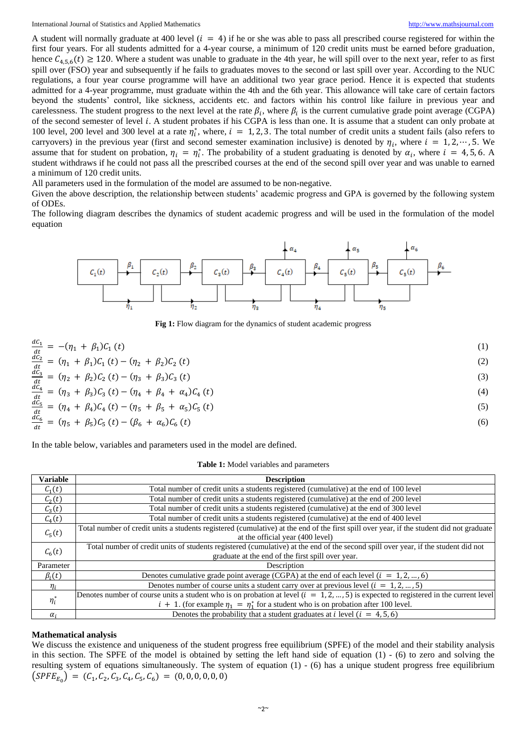International Journal of Statistics and Applied Mathematics [http://www.mathsjournal.com](http://www.mathsjournal.com/)

A student will normally graduate at 400 level  $(i = 4)$  if he or she was able to pass all prescribed course registered for within the first four years. For all students admitted for a 4-year course, a minimum of 120 credit units must be earned before graduation, hence  $C_{4,5,6}(t) \ge 120$ . Where a student was unable to graduate in the 4th year, he will spill over to the next year, refer to as first spill over (FSO) year and subsequently if he fails to graduates moves to the second or last spill over year. According to the NUC regulations, a four year course programme will have an additional two year grace period. Hence it is expected that students admitted for a 4-year programme, must graduate within the 4th and the 6th year. This allowance will take care of certain factors beyond the students' control, like sickness, accidents etc. and factors within his control like failure in previous year and carelessness. The student progress to the next level at the rate  $\beta_i$ , where  $\beta_i$  is the current cumulative grade point average (CGPA) of the second semester of level *i*. A student probates if his CGPA is less than one. It is assume that a student can only probate at 100 level, 200 level and 300 level at a rate  $\eta_i^*$ , where,  $i = 1, 2, 3$ . The total number of credit units a student fails (also refers to carryovers) in the previous year (first and second semester examination inclusive) is denoted by  $\eta_i$ , where  $i = 1, 2, \dots, 5$ . We assume that for student on probation,  $\eta_i = \eta_i^*$ . The probability of a student graduating is denoted by  $\alpha_i$ , where  $i = 4, 5, 6$ . A student withdraws if he could not pass all the prescribed courses at the end of the second spill over year and was unable to earned a minimum of 120 credit units.

All parameters used in the formulation of the model are assumed to be non-negative.

Given the above description, the relationship between students' academic progress and GPA is governed by the following system of ODEs.

The following diagram describes the dynamics of student academic progress and will be used in the formulation of the model equation



**Fig 1:** Flow diagram for the dynamics of student academic progress

$$
\frac{dC_1}{dt} = -(\eta_1 + \beta_1)C_1(t)
$$
\n(1)  
\n
$$
\frac{dC_2}{dt} = (\eta_1 + \beta_1)C_1(t) - (\eta_2 + \beta_2)C_2(t)
$$
\n(2)  
\n
$$
\frac{dC_3}{dt} = (\eta_2 + \beta_2)C_2(t) - (\eta_3 + \beta_3)C_3(t)
$$
\n(3)  
\n
$$
\frac{dC_4}{dt} = (\eta_3 + \beta_3)C_3(t) - (\eta_4 + \beta_4 + \alpha_4)C_4(t)
$$
\n(4)  
\n
$$
\frac{dC_5}{dt} = (\eta_4 + \beta_4)C_4(t) - (\eta_5 + \beta_5 + \alpha_5)C_5(t)
$$
\n(5)  
\n
$$
\frac{dC_6}{dt} = (\eta_5 + \beta_5)C_5(t) - (\beta_6 + \alpha_6)C_6(t)
$$
\n(6)

In the table below, variables and parameters used in the model are defined.

| Table 1: Model variables and parameters |
|-----------------------------------------|
|-----------------------------------------|

| Variable           | <b>Description</b>                                                                                                                       |  |  |  |  |  |  |  |  |  |
|--------------------|------------------------------------------------------------------------------------------------------------------------------------------|--|--|--|--|--|--|--|--|--|
| $C_1(t)$           | Total number of credit units a students registered (cumulative) at the end of 100 level                                                  |  |  |  |  |  |  |  |  |  |
| $\mathcal{C}_2(t)$ | Total number of credit units a students registered (cumulative) at the end of 200 level                                                  |  |  |  |  |  |  |  |  |  |
| $\mathcal{C}_3(t)$ | Total number of credit units a students registered (cumulative) at the end of 300 level                                                  |  |  |  |  |  |  |  |  |  |
| $\mathcal{C}_4(t)$ | Total number of credit units a students registered (cumulative) at the end of 400 level                                                  |  |  |  |  |  |  |  |  |  |
| $\mathcal{C}_5(t)$ | Total number of credit units a students registered (cumulative) at the end of the first spill over year, if the student did not graduate |  |  |  |  |  |  |  |  |  |
|                    | at the official year (400 level)                                                                                                         |  |  |  |  |  |  |  |  |  |
| $\mathcal{C}_6(t)$ | Total number of credit units of students registered (cumulative) at the end of the second spill over year, if the student did not        |  |  |  |  |  |  |  |  |  |
|                    | graduate at the end of the first spill over year.                                                                                        |  |  |  |  |  |  |  |  |  |
| Parameter          | Description                                                                                                                              |  |  |  |  |  |  |  |  |  |
| $\beta_i(t)$       | Denotes cumulative grade point average (CGPA) at the end of each level ( $i = 1, 2, , 6$ )                                               |  |  |  |  |  |  |  |  |  |
| $\eta_i$           | Denotes number of course units a student carry over at previous level $(i = 1, 2, , 5)$                                                  |  |  |  |  |  |  |  |  |  |
| $\eta_i^*$         | Denotes number of course units a student who is on probation at level $(i = 1, 2, , 5)$ is expected to registered in the current level   |  |  |  |  |  |  |  |  |  |
|                    | $i + 1$ . (for example $\eta_1 = \eta_1^*$ for a student who is on probation after 100 level.                                            |  |  |  |  |  |  |  |  |  |
| $\alpha_i$         | Denotes the probability that a student graduates at <i>i</i> level ( $i = 4, 5, 6$ )                                                     |  |  |  |  |  |  |  |  |  |

#### **Mathematical analysis**

We discuss the existence and uniqueness of the student progress free equilibrium (SPFE) of the model and their stability analysis in this section. The SPFE of the model is obtained by setting the left hand side of equation (1) - (6) to zero and solving the resulting system of equations simultaneously. The system of equation  $(1)$  -  $(6)$  has a unique student progress free equilibrium  $(SPFE_{E_0}) = (C_1, C_2, C_3, C_4, C_5, C_6) = (0, 0, 0, 0, 0, 0)$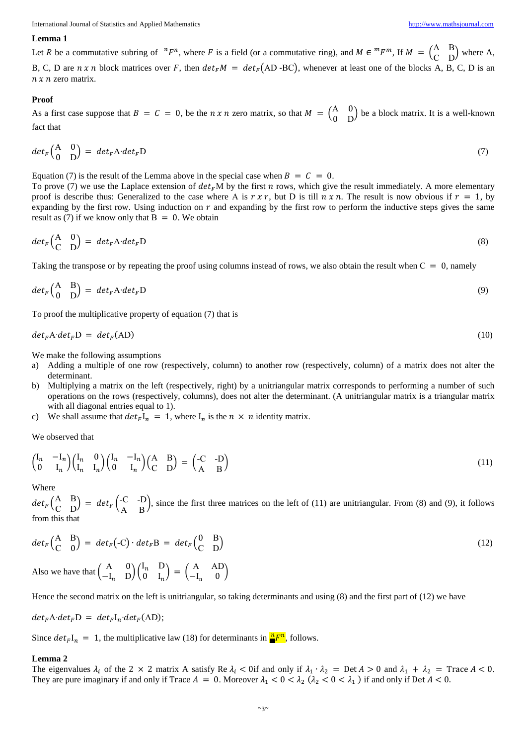#### **Lemma 1**

Let R be a commutative subring of  ${}^nF^n$ , where F is a field (or a commutative ring), and  $M \in {}^mF^m$ , If  $M = \begin{pmatrix} A & B \\ C & D \end{pmatrix}$  $\begin{pmatrix} A & B \\ C & D \end{pmatrix}$  where A, B, C, D are  $n \times n$  block matrices over F, then  $det_F M = det_F(AD-BC)$ , whenever at least one of the blocks A, B, C, D is an  $n \times n$  zero matrix.

#### **Proof**

As a first case suppose that  $B = C = 0$ , be the *n x n* zero matrix, so that  $M = \begin{pmatrix} A & 0 \\ 0 & B \end{pmatrix}$  $\begin{pmatrix} A & 0 \\ 0 & D \end{pmatrix}$  be a block matrix. It is a well-known fact that

$$
det_F \begin{pmatrix} A & 0 \\ 0 & D \end{pmatrix} = det_F A \cdot det_F D \tag{7}
$$

Equation (7) is the result of the Lemma above in the special case when  $B = C = 0$ .

To prove (7) we use the Laplace extension of  $det_F M$  by the first *n* rows, which give the result immediately. A more elementary proof is describe thus: Generalized to the case where A is  $r \times r$ , but D is till  $n \times n$ . The result is now obvious if  $r = 1$ , by expanding by the first row. Using induction on  $r$  and expanding by the first row to perform the inductive steps gives the same result as (7) if we know only that  $B = 0$ . We obtain

$$
det_F \begin{pmatrix} A & 0 \\ C & D \end{pmatrix} = det_F A \cdot det_F D \tag{8}
$$

Taking the transpose or by repeating the proof using columns instead of rows, we also obtain the result when  $C = 0$ , namely

$$
det_F \begin{pmatrix} A & B \\ 0 & D \end{pmatrix} = det_F A \cdot det_F D \tag{9}
$$

To proof the multiplicative property of equation (7) that is

$$
det_F A \cdot det_F D = det_F (AD) \tag{10}
$$

We make the following assumptions

- a) Adding a multiple of one row (respectively, column) to another row (respectively, column) of a matrix does not alter the determinant.
- b) Multiplying a matrix on the left (respectively, right) by a unitriangular matrix corresponds to performing a number of such operations on the rows (respectively, columns), does not alter the determinant. (A unitriangular matrix is a triangular matrix with all diagonal entries equal to 1).
- c) We shall assume that  $det_F I_n = 1$ , where  $I_n$  is the  $n \times n$  identity matrix.

We observed that

$$
\begin{pmatrix}\nI_n & -I_n \\
0 & I_n\n\end{pmatrix}\n\begin{pmatrix}\nI_n & 0 \\
I_n & I_n\n\end{pmatrix}\n\begin{pmatrix}\nI_n & -I_n \\
0 & I_n\n\end{pmatrix}\n\begin{pmatrix}\nA & B \\
C & D\n\end{pmatrix} = \begin{pmatrix}\n-C & -D \\
A & B\n\end{pmatrix}
$$
\n(11)

Where

 $det_F\begin{pmatrix} A & B \\ C & D \end{pmatrix}$  $\begin{pmatrix} A & B \\ C & D \end{pmatrix} = det_F \begin{pmatrix} -C & -D \\ A & B \end{pmatrix}$  $A \nB$ , since the first three matrices on the left of (11) are unitriangular. From (8) and (9), it follows  $A \nB$ from this that

$$
det_F \begin{pmatrix} A & B \\ C & 0 \end{pmatrix} = det_F (-C) \cdot det_F B = det_F \begin{pmatrix} 0 & B \\ C & D \end{pmatrix}
$$
  
Also we have that  $\begin{pmatrix} A & 0 \\ -I_n & D \end{pmatrix} \begin{pmatrix} I_n & D \\ 0 & I_n \end{pmatrix} = \begin{pmatrix} A & AD \\ -I_n & 0 \end{pmatrix}$  (12)

Hence the second matrix on the left is unitriangular, so taking determinants and using (8) and the first part of (12) we have

$$
det_F A \cdot det_F D = det_F I_n \cdot det_F (AD);
$$

Since  $det_F I_n = 1$ , the multiplicative law (18) for determinants in  $\frac{n_F n}{r}$ , follows.

#### **Lemma 2**

The eigenvalues  $\lambda_i$  of the 2 × 2 matrix A satisfy Re  $\lambda_i$  < 0if and only if  $\lambda_1 \cdot \lambda_2$  = Det  $A > 0$  and  $\lambda_1 + \lambda_2$  = Trace  $A < 0$ . They are pure imaginary if and only if Trace  $A = 0$ . Moreover  $\lambda_1 < 0 < \lambda_2$  ( $\lambda_2 < 0 < \lambda_1$ ) if and only if Det  $A < 0$ .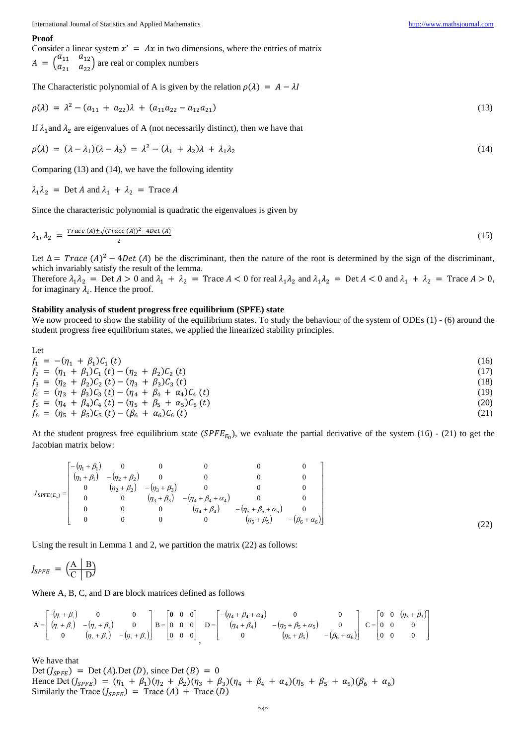#### **Proof**

Consider a linear system  $x' = Ax$  in two dimensions, where the entries of matrix  $A = \begin{pmatrix} a_{11} & a_{12} \\ a & a \end{pmatrix}$  $\begin{pmatrix} a_{11} & a_{12} \\ a_{21} & a_{22} \end{pmatrix}$  are real or complex numbers

The Characteristic polynomial of A is given by the relation  $\rho(\lambda) = A - \lambda I$ 

$$
\rho(\lambda) = \lambda^2 - (a_{11} + a_{22})\lambda + (a_{11}a_{22} - a_{12}a_{21})
$$
\n(13)

If  $\lambda_1$  and  $\lambda_2$  are eigenvalues of A (not necessarily distinct), then we have that

$$
\rho(\lambda) = (\lambda - \lambda_1)(\lambda - \lambda_2) = \lambda^2 - (\lambda_1 + \lambda_2)\lambda + \lambda_1\lambda_2 \tag{14}
$$

Comparing (13) and (14), we have the following identity

 $\lambda_1 \lambda_2$  = Det A and  $\lambda_1 + \lambda_2$  = Trace A

Since the characteristic polynomial is quadratic the eigenvalues is given by

$$
\lambda_1, \lambda_2 = \frac{\text{Trace}(A) \pm \sqrt{(\text{Trace}(A))^2 - 4\text{Det}(A)}}{2} \tag{15}
$$

Let  $\Delta = Trace (A)^2 - 4Det (A)$  be the discriminant, then the nature of the root is determined by the sign of the discriminant, which invariably satisfy the result of the lemma.

Therefore  $\lambda_1 \lambda_2$  = Det  $A > 0$  and  $\lambda_1 + \lambda_2$  = Trace  $A < 0$  for real  $\lambda_1 \lambda_2$  and  $\lambda_1 \lambda_2$  = Det  $A < 0$  and  $\lambda_1 + \lambda_2$  = Trace  $A > 0$ , for imaginary  $\lambda_i$ . Hence the proof.

#### **Stability analysis of student progress free equilibrium (SPFE) state**

We now proceed to show the stability of the equilibrium states. To study the behaviour of the system of ODEs (1) - (6) around the student progress free equilibrium states, we applied the linearized stability principles.

Let  
\n
$$
f_1 = -(\eta_1 + \beta_1)C_1(t)
$$
\n
$$
f_2 = (\eta_1 + \beta_1)C_1(t) - (\eta_2 + \beta_2)C_2(t)
$$
\n
$$
f_3 = (\eta_2 + \beta_2)C_2(t) - (\eta_3 + \beta_3)C_3(t)
$$
\n
$$
f_4 = (\eta_3 + \beta_3)C_3(t) - (\eta_4 + \beta_4 + \alpha_4)C_4(t)
$$
\n
$$
f_5 = (\eta_4 + \beta_4)C_4(t) - (\eta_5 + \beta_5 + \alpha_5)C_5(t)
$$
\n
$$
f_6 = (\eta_5 + \beta_5)C_5(t) - (\beta_6 + \alpha_6)C_6(t)
$$
\n(21)

At the student progress free equilibrium state  $(SPFE_{E_0})$ , we evaluate the partial derivative of the system (16) - (21) to get the Jacobian matrix below:

$$
J_{SPEE(E_0)} = \begin{bmatrix} -(\eta_1 + \beta_1) & 0 & 0 & 0 & 0 & 0 & 0 \\ (\eta_1 + \beta_1) & -(\eta_2 + \beta_2) & 0 & 0 & 0 & 0 & 0 \\ 0 & (\eta_2 + \beta_2) & -(\eta_3 + \beta_3) & 0 & 0 & 0 & 0 \\ 0 & 0 & (\eta_3 + \beta_3) & -(\eta_4 + \beta_4 + \alpha_4) & 0 & 0 & 0 \\ 0 & 0 & 0 & (\eta_4 + \beta_4) & -(\eta_5 + \beta_5 + \alpha_5) & 0 \\ 0 & 0 & 0 & 0 & (\eta_5 + \beta_5) & -(\beta_6 + \alpha_6) \end{bmatrix}
$$

Using the result in Lemma 1 and 2, we partition the matrix (22) as follows:

$$
J_{S P F E} = \left(\frac{A}{C} \left| \frac{B}{D} \right.\right)
$$

Where A, B, C, and D are block matrices defined as follows

$$
A = \begin{bmatrix} -(\eta_{1} + \beta_{1}) & 0 & 0 \\ (\eta_{1} + \beta_{1}) & -(\eta_{1} + \beta_{1}) & 0 \\ 0 & (\eta_{2} + \beta_{2}) & -(\eta_{3} + \beta_{3}) \end{bmatrix} B = \begin{bmatrix} 0 & 0 & 0 \\ 0 & 0 & 0 \\ 0 & 0 & 0 \end{bmatrix} D = \begin{bmatrix} -(\eta_{4} + \beta_{4} + \alpha_{4}) & 0 & 0 \\ (\eta_{4} + \beta_{4}) & -(\eta_{5} + \beta_{5} + \alpha_{5}) & 0 \\ 0 & (\eta_{5} + \beta_{5}) & -(\beta_{6} + \alpha_{6}) \end{bmatrix} C = \begin{bmatrix} 0 & 0 & (\eta_{3} + \beta_{3}) \\ 0 & 0 & 0 \\ 0 & 0 & 0 \end{bmatrix}
$$

We have that

Det  $(J_{SPE})$  = Det  $(A)$ .Det  $(D)$ , since Det  $(B)$  = 0 Hence Det  $(J_{SPE}) = (\eta_1 + \beta_1)(\eta_2 + \beta_2)(\eta_3 + \beta_3)(\eta_4 + \beta_4 + \alpha_4)(\eta_5 + \beta_5 + \alpha_5)(\beta_6 + \alpha_6)$ Similarly the Trace  $(J_{SPE})$  = Trace  $(A)$  + Trace  $(D)$ 

(22)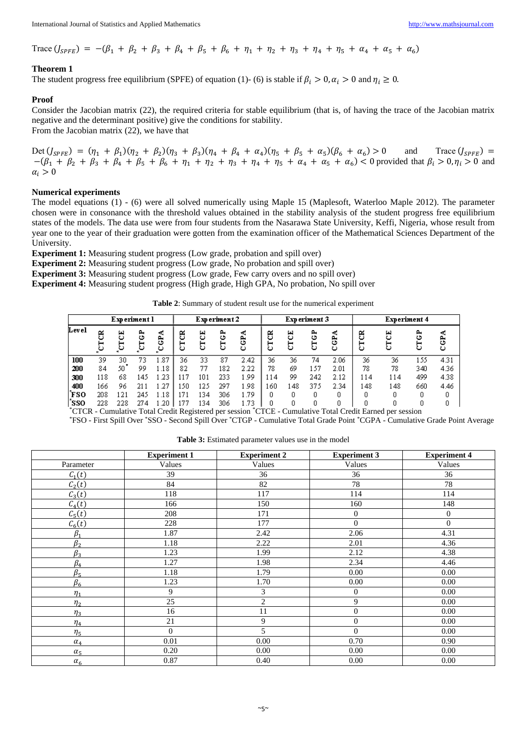Trace  $(J_{SPE}) = -(\beta_1 + \beta_2 + \beta_3 + \beta_4 + \beta_5 + \beta_6 + \eta_1 + \eta_2 + \eta_3 + \eta_4 + \eta_5 + \alpha_4 + \alpha_5 + \alpha_6)$ 

# **Theorem 1**

The student progress free equilibrium (SPFE) of equation (1)- (6) is stable if  $\beta_i > 0$ ,  $\alpha_i > 0$  and  $\eta_i \ge 0$ .

# **Proof**

Consider the Jacobian matrix (22), the required criteria for stable equilibrium (that is, of having the trace of the Jacobian matrix negative and the determinant positive) give the conditions for stability. From the Jacobian matrix (22), we have that

Det  $(J_{SPE}) = (\eta_1 + \beta_1)(\eta_2 + \beta_2)(\eta_3 + \beta_3)(\eta_4 + \beta_4 + \alpha_4)(\eta_5 + \beta_5 + \alpha_5)(\beta_6 + \alpha_6) > 0$  and Trace  $(J_{SPE}) =$  $-(\beta_1 + \beta_2 + \beta_3 + \beta_4 + \beta_5 + \beta_6 + \eta_1 + \eta_2 + \eta_3 + \eta_4 + \eta_5 + \alpha_4 + \alpha_5 + \alpha_6) < 0$  provided that  $\beta_i > 0, \eta_i > 0$  and  $\alpha_i > 0$ 

## **Numerical experiments**

The model equations (1) - (6) were all solved numerically using Maple 15 (Maplesoft, Waterloo Maple 2012). The parameter chosen were in consonance with the threshold values obtained in the stability analysis of the student progress free equilibrium states of the models. The data use were from four students from the Nasarawa State University, Keffi, Nigeria, whose result from year one to the year of their graduation were gotten from the examination officer of the Mathematical Sciences Department of the University.

**Experiment 1:** Measuring student progress (Low grade, probation and spill over)

**Experiment 2:** Measuring student progress (Low grade, No probation and spill over)

**Experiment 3:** Measuring student progress (Low grade, Few carry overs and no spill over)

**Experiment 4:** Measuring student progress (High grade, High GPA, No probation, No spill over

**Table 2**: Summary of student result use for the numerical experiment

|       | Experiment l |              |        |             | Experiment 2 |              |             |               | Experiment 3 |        |        |               | Experiment 4 |     |        |        |
|-------|--------------|--------------|--------|-------------|--------------|--------------|-------------|---------------|--------------|--------|--------|---------------|--------------|-----|--------|--------|
| Level | ජී<br>ۑ      | 5<br>⊢<br>್ಲ | 2<br>ق | ∢<br>5<br>ۑ | రి<br>⊢<br>ల | 5<br>⊢<br>رخ | 2<br>ڻ<br>5 | ×.<br>සි<br>ں | ජි<br>ల      | 니<br>ల | ∼<br>ن | -40<br>5<br>ల | පී<br>⊢<br>ں | 봄   | ∼<br>ڻ | ి<br>ల |
| 100   | 39           | 30           | 73     | .87         | 36           | 33           | 87          | 2.42          | 36           | 36     | 74     | 2.06          | 36           | 36  | 155    | 4.31   |
| 200   | 84           | 50           | 99     | .18         | 82           | 77           | 182         | 2.22          | 78           | 69     | 57ء    | 2.01          | 78           | 78  | 340    | 4.36   |
| 300   | 118          | 68           | 145    | -23         | 17ء          | 101          | 233         | . 99          | 114          | 99     | 242    | 2.12          | 114          | 114 | 499    | 4.38   |
| 400   | 166          | 96           | 211    | .27         | L50          | 125          | 297         | l 98          | 160          | .48    | 375    | 2.34          | 148          | 148 | 660    | 4.46   |
| `FSO  | 208          | 121          | 245    | .18         | l71          | 34           | 306         | . 79          |              |        |        |               |              |     |        |        |
| `SSO  | 228          | 228          | 274    | .20         | .77          | 134          | 306         | 73ء           |              |        |        |               |              |     |        |        |

\*CTCR - Cumulative Total Credit Registered per session \*CTCE - Cumulative Total Credit Earned per session

\*FSO - First Spill Over \*SSO - Second Spill Over \*CTGP - Cumulative Total Grade Point \*CGPA - Cumulative Grade Point Average

|            | <b>Experiment 1</b> | <b>Experiment 2</b> | <b>Experiment 3</b> | <b>Experiment 4</b> |
|------------|---------------------|---------------------|---------------------|---------------------|
| Parameter  | Values              | Values              | Values              | Values              |
| $C_1(t)$   | 39                  | 36                  | 36                  | 36                  |
| $C_2(t)$   | 84                  | 82                  | 78                  | 78                  |
| $C_3(t)$   | 118                 | 117                 | 114                 | 114                 |
| $C_4(t)$   | 166                 | 150                 | 160                 | 148                 |
| $C_5(t)$   | 208                 | 171                 | $\boldsymbol{0}$    | $\theta$            |
| $C_6(t)$   | 228                 | 177                 | $\boldsymbol{0}$    | $\mathbf{0}$        |
| $\beta_1$  | 1.87                | 2.42                | 2.06                | 4.31                |
| $\beta_2$  | 1.18                | 2.22                | 2.01                | 4.36                |
| $\beta_3$  | 1.23                | 1.99                | 2.12                | 4.38                |
| $\beta_4$  | 1.27                | 1.98                | 2.34                | 4.46                |
| $\beta_5$  | 1.18                | 1.79                | 0.00                | 0.00                |
| $\beta_6$  | 1.23                | 1.70                | 0.00                | 0.00                |
| $\eta_1$   | 9                   | 3                   | $\boldsymbol{0}$    | 0.00                |
| $\eta_2$   | 25                  | $\overline{2}$      | 9                   | 0.00                |
| $\eta_3$   | 16                  | 11                  | $\boldsymbol{0}$    | 0.00                |
| $\eta_4$   | 21                  | 9                   | $\boldsymbol{0}$    | 0.00                |
| $\eta_{5}$ | $\mathbf{0}$        | 5                   | $\overline{0}$      | 0.00                |
| $\alpha_4$ | 0.01                | 0.00                | 0.70                | 0.90                |
| $\alpha_5$ | 0.20                | 0.00                | 0.00                | 0.00                |
| $\alpha_6$ | 0.87                | 0.40                | 0.00                | 0.00                |

**Table 3:** Estimated parameter values use in the model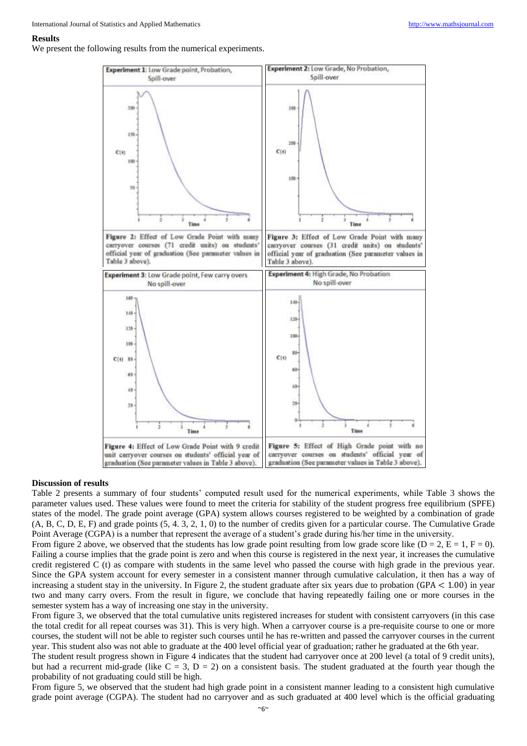#### **Results**

We present the following results from the numerical experiments.



#### **Discussion of results**

Table 2 presents a summary of four students' computed result used for the numerical experiments, while Table 3 shows the parameter values used. These values were found to meet the criteria for stability of the student progress free equilibrium (SPFE) states of the model. The grade point average (GPA) system allows courses registered to be weighted by a combination of grade (A, B, C, D, E, F) and grade points (5, 4. 3, 2, 1, 0) to the number of credits given for a particular course. The Cumulative Grade Point Average (CGPA) is a number that represent the average of a student's grade during his/her time in the university.

From figure 2 above, we observed that the students has low grade point resulting from low grade score like ( $D = 2$ ,  $E = 1$ ,  $F = 0$ ). Failing a course implies that the grade point is zero and when this course is registered in the next year, it increases the cumulative credit registered C (t) as compare with students in the same level who passed the course with high grade in the previous year. Since the GPA system account for every semester in a consistent manner through cumulative calculation, it then has a way of increasing a student stay in the university. In Figure 2, the student graduate after six years due to probation  $(GPA < 1.00)$  in year two and many carry overs. From the result in figure, we conclude that having repeatedly failing one or more courses in the semester system has a way of increasing one stay in the university.

From figure 3, we observed that the total cumulative units registered increases for student with consistent carryovers (in this case the total credit for all repeat courses was 31). This is very high. When a carryover course is a pre-requisite course to one or more courses, the student will not be able to register such courses until he has re-written and passed the carryover courses in the current year. This student also was not able to graduate at the 400 level official year of graduation; rather he graduated at the 6th year.

The student result progress shown in Figure 4 indicates that the student had carryover once at 200 level (a total of 9 credit units), but had a recurrent mid-grade (like  $C = 3$ ,  $D = 2$ ) on a consistent basis. The student graduated at the fourth year though the probability of not graduating could still be high.

From figure 5, we observed that the student had high grade point in a consistent manner leading to a consistent high cumulative grade point average (CGPA). The student had no carryover and as such graduated at 400 level which is the official graduating